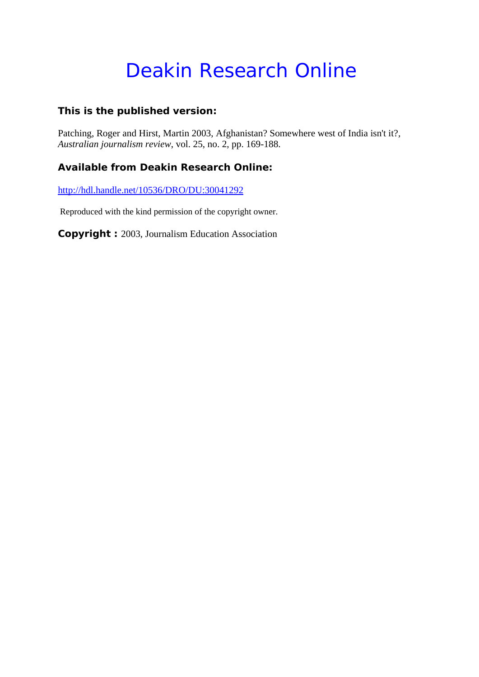# Deakin Research Online

## **This is the published version:**

Patching, Roger and Hirst, Martin 2003, Afghanistan? Somewhere west of India isn't it?*, Australian journalism review*, vol. 25, no. 2, pp. 169-188.

## **Available from Deakin Research Online:**

http://hdl.handle.net/10536/DRO/DU:30041292

Reproduced with the kind permission of the copyright owner.

**Copyright :** 2003, Journalism Education Association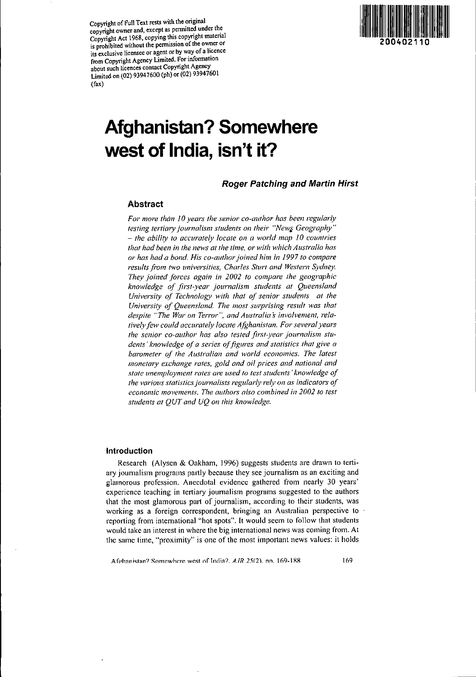Copyright of Full Text rests with the original copyright owner and, except as permitted under the Copyright Act 1968, copying this copyright material is prohibited without the permission of the owner or its exclusive licensee or agent or by way of a licence from Copyright Agency Limited. For information about such licences contact Copyright Agency Limited on (02) 93947600 (ph) or (02) 93947601 (fax)



# **Afghanistan? Somewhere west of India, isn't it?**

Roger Patching and Martin Hirst

## Abstract

*For more than 10 years the senior co-author has been regularly testing tertiary journalism students on their "New} Geography" - the ability to accurately locate on a world map* 1*0 countries that had been in the news at the time, or with which Australia has or has had a bond. His co-authorjoined him in 1997to compare results from two universities, Charles Sturt and Western Sydney. They joined forces again in 2002 to compare the geographic knowledge of first-year journalism students at Queensland University of Technology with that of senior students at the University of Queensland. The most surprising result was that despite "The War on Terror", and Allstralias involvement, relatively few could accurately locate Afghanistan. For several years the senior co-author has also tested first-year journalism students' knowledge of a series of figures and statistics that give a barometer of the Australian and world economies. The latest monetmy exchange rates, gold and oil prices and national and state unemployment rates are used to test students' knowledge of the various statisticsjournalists regularly rely on as indicators of economic movements. The authors also combined in 2002 to test students at QUT and UQ on this knowledge.*

## Introduction

Research (Alysen & Oakham, J996) suggests students are drawn to tertiary journalism programs partly because they see journalism as an exciting and glamorous profession. Anecdotal evidence gathered from nearly 30 years' experience teaching in tertiary joumalism programs suggested to the authors that the most glamorous part of journalism, according to their students, was working as a foreign correspondent, bringing an Australian perspective to reporting from international "hot spots". It would seem to follow that students would take an interest in where the big international news was coming from. At the same time. "proximity" is one of the most important news values: it holds

A fghanistan? Somewhere west of India?. *A.IR* 25(2). nn. 169-188. 169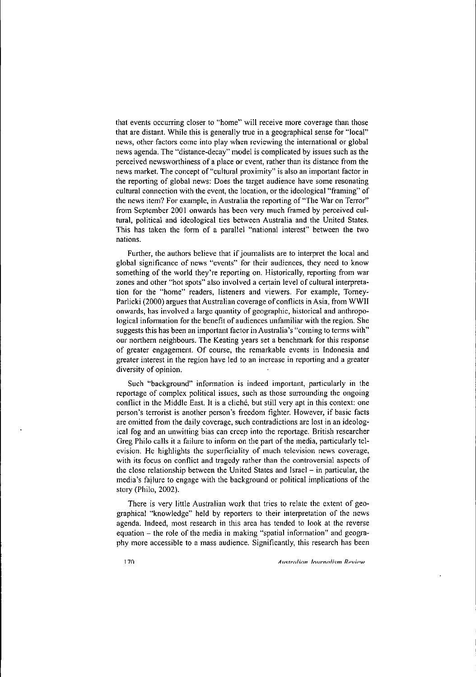**that events occurring closer to "home" will receive more coverage than those** that are distant. While this is generally true in a geographical sense for "local" **news, other factors come into play when reviewing the international or global** news agenda. The "distance-decay" model is complicated by issues such as the **perceived newsworthiness of a place or event, rather than its distance from the** news market. The concept of "cultural proximity" is also an important factor in **the repOtting of global news: Does the target audience have some resonating culhlral connection with the event, the location, or the ideological "framing" of** the news item? For example, in Australia the reporting of "The War on Terror" from September 2001 onwards has been very much framed by perceived cultural, political and ideological ties between Australia and the United States. This has taken the form of a parallel "national interest" between the two **nations.**

Further, the authors believe that if journalists are to interpret the local and **global significance of news "events" for their audiences, they need to know** something of the world they're reporting on. Historically, reporting from war **zones and other "hot spots" also involved a certain level of cultural interpretation for the "home" readers, listeners and viewers. For example, Tomey-**Parlicki (2000) argues that Australian coverage of conflicts in Asia, from WWII **onwards, has involved a large quantity of geographic, historical and anthropo**logical information for the benefit of audiences unfamiliar with the region. She suggests this has been an important factor in Australia's "coming to terms with" **our northem neighbours. The Keating years set a benchmark for this response** of greater engagement. Of course, the remarkable events in Indonesia and **greater interest** in the region have led to an increase in reporting and a greater diversity of opinion.

**Such "background" infonnation is indeed impOltant, particularly in the** reportage of complex political issues, such as those surrounding the ongoing conflict in the Middle East. It is a cliché, but still very apt in this context; one **person's terrorist is another person's freedom fighter. However, if basic facts are omitted from the daily coverage, such contradictions are lost in an ideological fog and an unwitting bias can creep into the reportage. British researcher** Greg Philo calls it a failure to inform on the part of the media, particularly tel**evision. He highlights the superficiality of much television news coverage, with its focus on conflict and tragedy rather than the controversial aspects of** the close relationship between the United States and Israel - in particular, the media's failure to engage with the background or political implications of the story (Philo, 2002).

There is very little Australian work that tries to relate the extent of geographical "knowledge" held by reporters to their interpretation of the news agenda. Indeed, most research in this area has tended to look at the reverse equation - the role of the media in making "spatial information" and geogra**phy morc accessible to a mass audience. Significantly, this research has been**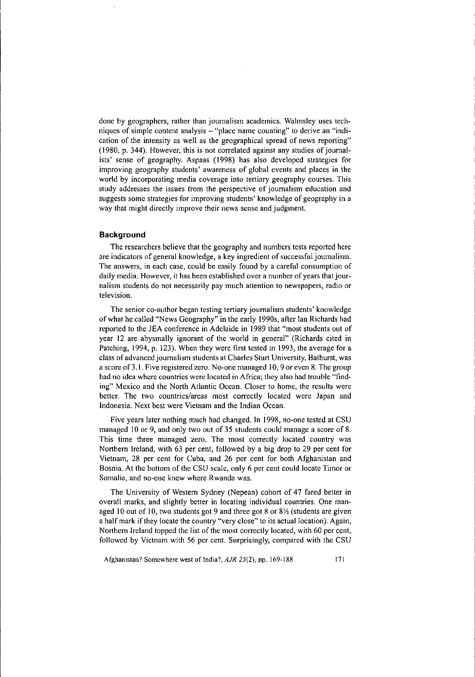done by geographers, rather than journalism academics. Walmsley uses tech**niques ofsimple content analysis - "place name counting" to derive an "indication of the intensity as well as the geographical spread of news reporting"**  $(1980, p. 344)$ . However, this is not correlated against any studies of journalists' sense of geography. Aspaas (1998) has also developed strategies for improving geography students' awareness of global events and places in the world by incorporating media coverage into tertiary geography courses. This **study addresses the issues from the perspective of journalism education and** suggests some strategies for improving students' knowledge of geography in a way that might directly improve their news sense and judgment.

### **Background**

The researchers believe that the geography and numbers tests reported here **are indicators of general knowledge, a key ingredient ofsuccessful journalism.** The answers, in each case, could be easily found by a careful consumption of **daily media. However, it has been established over a number afyears** that jour**nalism students do not necessarily pay much attention to newspapers, radio or television.**

The senior co-author began testing tertiary journalism students' knowledge ofwhat he called "News Geography" in the early 1990s, after Ian Richards had reported to the JEA conference in Adelaide in 1989 that "most students out of year 12 are abysmally ignorant of the world in general" (Richards cited in Patching, 1994, p. 123). When they were first tested in 1993, the average for a class of advanced journalism students at Charles Sturt University, Bathurst, was a score of 3.1. Five registered zero. No-one managed 10, 9 or even 8. The group **had no idea where countries were located in Africa; they also had trouble "finding" Mexico and the North Atlantic Ocean. Closer to home, the results were** better. The two countries/areas most correctly located were Japan and Indonesia. Next best were Vietnam and the Indian Ocean.

Five years later nothing much had changed. In 1998, no-one tested at CSU managed 10 or 9, and only two out of 35 students could manage a score of 8. **This time three managed zero. The most correctly located country was** Northern Ireland, with 63 per cent, followed by a big drop to 29 per cent for Vietnam, 28 per cent for Cuba, and 26 per cent for both Afghanistan and Bosnia. At the bottom of the CSU scale, only 6 per cent could locate Timor or **Somalia, and no-one knew where Rwanda was.**

The University of Western Sydney (Nepean) cohort of 47 fared better in overall marks, and slightly better in locating individual countries. One managed 10 out of 10, two students got 9 and three got 8 or 81/2 (students are given a half mark if they locate the country "very close" to its actual location). Again, Northern Ireland topped the list of the most correctly located, with 60 per cent, followed by Vietnam with 56 per cent. Surprisingly, compared with the CSU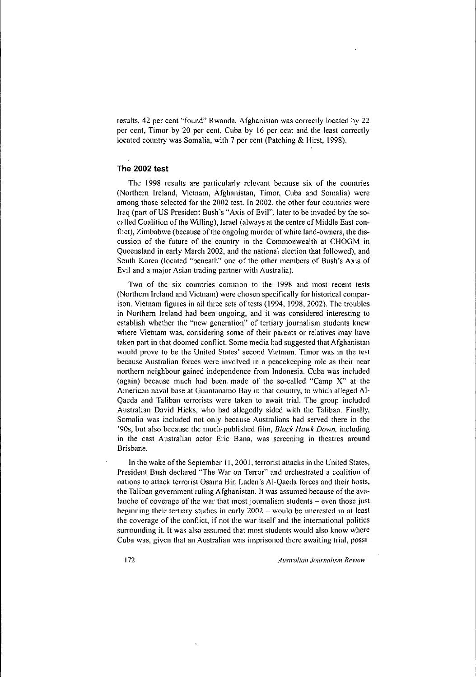results, 42 per cent "found" Rwanda. Afghanistan was correctly located by 22 per cent, Timor by 20 per cent, Cuba by 16 per cent and the least correctly located country was Somalia, with 7 per cent (Patching & Hirst, 1998).

## The **2002 test**

The 1998 results are particularly relevant because six of the countries (Northern Ireland, Vietnam, Afghanistan, Timor, Cuba and Somalia) were **among those selected for the 2002 test. In 2002, the other four countries were** Iraq (part of US President Bush's "Axis of Evil", later to be invaded by the socalled Coalition of the Willing), Israel (always at the centre of Middle East conflict), Zimbabwe (because of the ongoing murder of white land-owners, the dis**cussion of the future of the country in the Commonwealth at CHOGM in** Queensland in early March 2002, and the national election that followed), and South Korea (located "beneath" one of the other members of Bush's Axis of **Evil and a major Asian trading partner with Australia).**

**Two of the six countries common to the 1998 and most recent tests (Northern Ireland and Vietnam) were chosen specifically for historical compar**ison. Vietnam figures in all three sets of tests (1994, 1998, 2002). The troubles **in Northern Ireland had been ongoing, and it was considered interesting to** establish whether the "new generation" of tcrtiary joumalism students knew **where Vietnam was, considering some of their parents or relatives may have taken part in that doomed conflict. Some media had suggested that Afghanistan would prove to be the United States' second Vietnam. Timor was in the test because Australian forces were involved in a peacekeeping role as their near northern neighbour gained independence from Indonesia. Cuba was included** (again) because much had been. made of the so-called "Camp X" at the **American naval base at Guantanamo Bay in that country, to which alleged AI-**Qaeda and Taliban terrorists wcre taken to await trial. The group included Australian David Hicks, who had allegedly sidcd with thc Taliban. Finally, **Somalia was included not only because Australians had served there in the '90s, but also because the much-published film,** *Black Hawk Down,* **including in the cast Australian actor Eric Bana, was screening in theatres around Brisbane.**

In the wake of the September 11, 2001, terrorist attacks in the United States, **President Bush declared "The War on Terror" and orchestrated a coalition of** nations to attack terrorist Osama Bin Laden's AI-Qaeda forccs and their hosts, **the Taliban government ruling Afghanistan. It was assumed because** ofthe **avalanche of coverage of the war that most journalism students - even those just beginning their tertiary studies in early 2002 - would be interested in at least the coverage of the conflict, if not the war itself and the international politics surrounding it. It was also assumed that most students would also know where Cuba was, given that an Australian was imprisoned there awaiting trial, possi-**

t72 *Australian Journalism Review*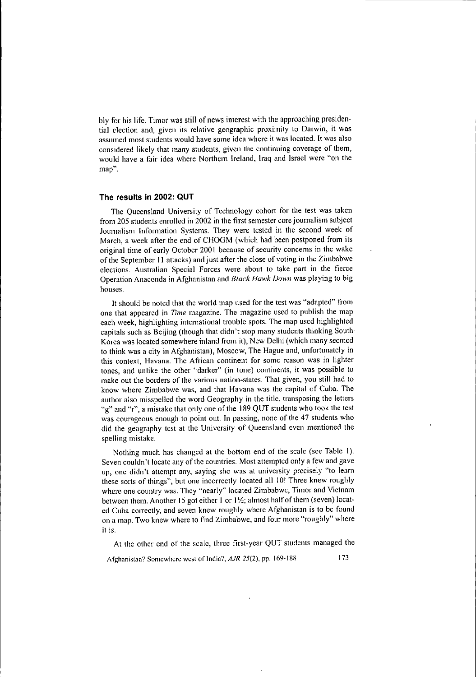bly for his life. Timor was still of news interest with the approaching presiden**tial election and, given its relative geographic proximity <sup>10</sup> D31win, it was assumed 1110St students would have some idea where it was located. It was also considered likely that many students, given the continuing coverage of them,** would have a fair idea where Northern Ireland, Iraq and Israel were "on the **map".**

## **The results in 2002: QUT**

The Queensland University of Technology cohort for the test was taken from 205 students enrolled in 2002 in the first semester core joumalism subject Joumalism lnfonnation Systems. They were tested in the second week of March, a week after the end of CHOGM (which had been postponed from its **original time of early October 200 I because of security concems in the wake** of the September II attacks) and just afterthe close of voting in the Zimbabwe **elections. Australian Special Forces were about to take part in the fierce** Operation Anaconda in Afghanistan and *Black Hawk Down* was playing to big **houses.**

It should be noted that the world map used for the test was "adapted" from **onc that appeared in** *Time* **magazine. The magazine used to publish the map** each week, highlighting intemational trouble spots. The map used highlighted capitals such as Beijing (though that didn't stop many students thinking South· Korea was located somewhere inland from it), New Delhi (which many seemed to think was a city in Afghanistan), Moscow, The Hague and, unfortunately in **this context, Havana. The African continent for some reason was in lighter tones, and unlike the other "darker" (in tone) continents, it was possible to make out the borders of the various nation-states. That given, you still had to know where Zimbabwe was, and that Havana was the capital of Cuba. The** author also misspelled the word Geography in the title, transposing the letters "g" and "r", a mistake that only one of the 189 QUT students who took the test **was courageous enough to point out. In passing, none of the 47 students who** did the geography test at the University of Queensland even mentioned the spelling mistake.

Nothing much has changed at the bottom end of the scale (see Table I). Seven couldn't locate any of the countries. Most attempted only a few and gave **up, one didn't attempt any, saying shc was at university precisely "to learn** these sorts of things", but one incorrectly located all 10! Three knew roughly where one country was. They "nearly" located Zimbabwe, Timor and Vietnam between them. Another 15 got either 1 or 11/2; almost half of them (seven) located Cuba correctly, and seven knew roughly where Afghanistan is to be found **on a map. Two knew where to find Zimbabwe, and four more "roughly" where it is.**

At the other end of the scale, three first-year QUT students managed the

**Afghanistan? Somewhere west** of India?, *AJR* **25(2), pp. 169·188** t73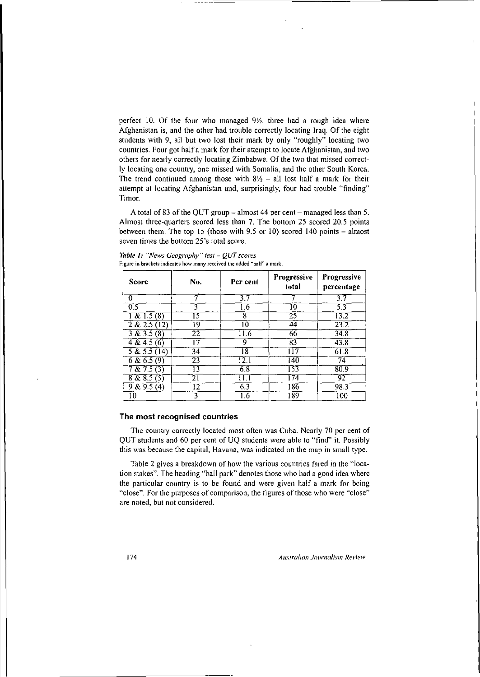perfect 10. Of the four who managed  $9\frac{1}{2}$ , three had a rough idea where Afghanistan is, and the other had trouble correctly locating Iraq. Of the eight students with 9, all but two lost their mark by only "roughly" locating two countries. Four got half a mark for their attempt to locate Afghanistan, and two others for nearly correctly locating Zimbabwe. Of the two that missed correct**ly locating one country, one missed with Somalia, and the other South Korea.** The trend continued among those with  $8/2 - 1$  all lost half a mark for their attempt at locating Afghanistan and, surprisingly, four had trouble "finding" Timor.

A total of 83 of the QUT group  $-$  almost 44 per cent  $-$  managed less than 5. Almost three-quarters scored less than 7. The bottom 25 scored 20.5 points between them. The top 15 (those with 9.5 or 10) scored 140 points  $-$  almost **seven times the bottom 25's total score.**

*Table* **J:** *"News Geography" test* **-** *QUT scores* **Figure in brackets indicates how many received the added "hair' a mark.**

| Score                  | No. | Per cent | <b>Progressive</b><br>total | Progressive<br>percentage |
|------------------------|-----|----------|-----------------------------|---------------------------|
| $\Omega$               |     | 3.7      |                             | 3.7                       |
| 0.5                    | ٩   | .6       | 10                          | 5.3                       |
| 1 & 21.5(8)            | 15  | 8        | 25                          | 13.2                      |
| 2 & 2.5(12)            | 19  | 10       | 44                          | $\overline{23.2}$         |
| 3 & 3.5(8)             | 22  | 11.6     | 66                          | 34.8                      |
| $4\sqrt{4.5(6)}$       | 17  | 9        | $\overline{8}3$             | 43.8                      |
| $\overline{58.55(14)}$ | 34  | ۱8       | 117                         | 61.8                      |
| 6 & 6.5(9)             | 23  | 12.1     | T40                         | 74                        |
| 7 & 7.5(3)             | 13  | 6.8      | 153                         | 80.9                      |
| 8 & 8.5(5)             | 21  | 11.1     | 174                         | 92                        |
| 9 & 9.5(4)             | 12  | 6.3      | 186                         | 98.3                      |
| 10                     | 3   | 5.       | 189                         | 100                       |

### **The most recognised countries**

The country correctly located most often was Cuba. Nearly 70 per cent of QUT students and 60 per cent of UQ studcnts were able to "find" it. Possibly **this was because the capital, Havana, was indicated on the map in small type.**

Table 2 gives a breakdown of how the various countrics fared in the "location stakes". The heading "ball park" denotes those who had a good idea wherc the particular country is to be found and were given half a mark for being **"close", For the purposes of comparison, the figures** ofthose **who were "close" are noted, but not considered.**

174 *Australian ./ournalism Review*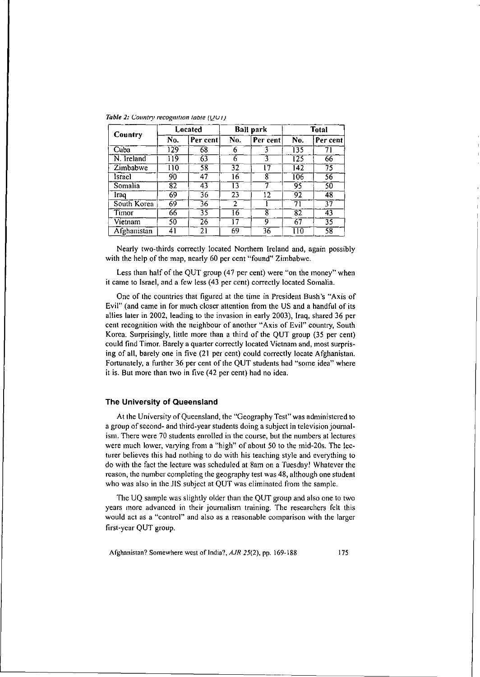|             | Located |          | <b>Ball park</b> |          | <b>Total</b> |          |
|-------------|---------|----------|------------------|----------|--------------|----------|
| Country     | No.     | Per cent | No.              | Per cent | No.          | Per cent |
| Cuba        | 129     | 68       | 6                |          | 135          | 71       |
| N. Ireland  | 119     | 63       | 6                | 3        | 125          | 66       |
| Zimbabwe    | 110     | 58       | 32               | 17       | 142          | 75       |
| Israel      | 90      | 47       | 16               | 8        | 106          | 56       |
| Somalia     | 82      | 43       | Ī3               |          | 95           | 50       |
| Iraq        | 69      | 36       | 23               | 12       | 92           | 48       |
| South Korea | 69      | 36       | $\overline{2}$   |          | 71           | 37       |
| Timor       | 66      | 35       | 16               | 8        | 82           | 43       |
| Vietnam     | 50      | 26       | 17               | 9        | 67           | 35       |
| Afghanistan | 41      | 21       | 69               | 36       | 110          | 58       |

*Table 2: Country recognition table*  $(UUI)$ 

Nearly two-thirds correctly located Northern Ireland and, again possibly with the help of the map, nearly 60 per cent "found" Zimbabwe.

Less than half of the QUT group (47 per cent) were "on the money" when it came to Israel, and a few less (43 per cent) correctly located Somalia.

One of the countries that figured at the time in President Bush's "Axis of Evil" (and came in for much closer attention from the US and a handful of its allies later in 2002, leading to the invasion in early 2003), Iraq, shared 36 per cent recognition with the neighbour of another "Axis of Evil" country, South Korea. Surprisingly, little more than a third of the QUT group (35 per cent) could find Timor. Barely a quarter correctly located Vietnam and, most surprising of all, barely one in five (21 per cent) could correctly locate Afghanistan. Fortunately, a further 36 per cent of the QUT students had "some idea" where it is. But more than two in five (42 per cent) had no idea.

## The University of Queensland

At the University of Queensland, the "Geography Test" was administered to a group of second- and third-year students doing a subject in television journalism. There were 70 students enrolled in the course, but the numbers at lectures were much lower, varying from a "high" of about 50 to the mid-20s. The lecturer believes this had nothing to do with his teaching style and everything to do with the fact the lecture was scheduled at 8am on a Tuesday! Whatever the reason, the number completing the geography test was 48, although one student who was also in the JIS subject at QUT was eliminated from the sample.

The UQ sample was slightly older than the QUT group and also one to two years more advanced in their journalism training. The researchers felt this would act as a "control" and also as a reasonable comparison with the larger first-ycar QUT group.

Afghanistan? Somewhere west of India?, *AJR* 25(2), pp. 169-188 175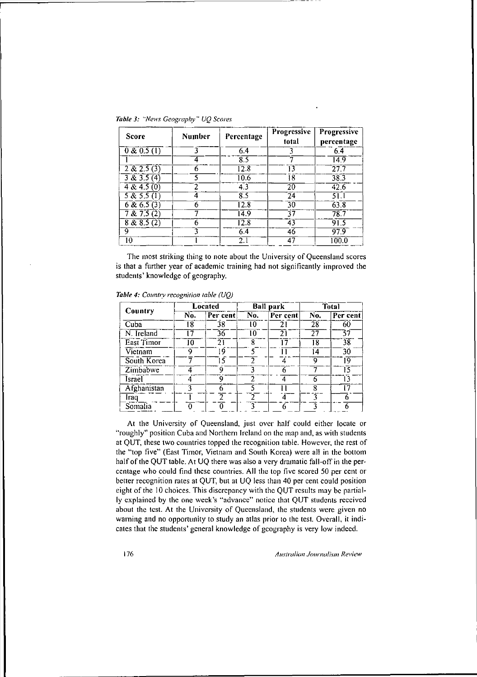| <b>Score</b>        | Number | Percentage | Progressive<br>total | Progressive<br>percentage |
|---------------------|--------|------------|----------------------|---------------------------|
| 0 & 0.5(1)          |        | 6.4        |                      |                           |
|                     |        | ደ ና        |                      | 14.9                      |
| 2 & 2.5(3)          |        | 12 R       | 13                   |                           |
| 3 & 3.5(4)          |        | -0.6       | 18                   | 38.3                      |
| $4\sqrt{8}$ 4.5 (0) |        |            |                      |                           |

The most striking thing to note about the University of Queensland scores is that a further year of academic training had not significantly improved the students' knowledge of geography.

 $\begin{array}{|c|c|c|c|c|c|}\n\hline\n5 & 5 & 5.5 & 1 \\
\hline\n6 & 6 & 5.5 & 3\n\end{array}$   $\begin{array}{|c|c|c|c|c|}\n\hline\n4 & 8.5 & 24 & 51.1 \\
\hline\n12.8 & 30 & 63.8 \\
\hline\n\end{array}$ ~& 6.5 (3) - <sup>6</sup> 12.8 <sup>30</sup> 63-:-8- 7 & 7.5 (2) 7 14.9 37 78.7<br>8 & 8.5 (2) 6 12.8 43 91.5  $\begin{array}{|c|c|c|c|c|}\n\hline\n8 & 8.8 & 5(2) & 6 & 12.8 & 43 & 91.5 \\
\hline\n9 & & 3 & 6.4 & 46 & 97.9\n\end{array}$ 9 3 6.4 46 97.9  $\begin{array}{|c|c|c|c|c|c|}\n\hline\n & 3 & 6.4 & 46 & 97.9 \\
\hline\n10 & 1 & 2.1 & 47 & 100.0 \\
\hline\n\end{array}$ 

|                            | Located |          | <b>Ball</b> park  |          | <b>Total</b> |          |
|----------------------------|---------|----------|-------------------|----------|--------------|----------|
| Country                    | No.     | Per cent | $\overline{N}$ 0. | Per cent | No.          | Per cent |
| $\overline{\mathrm{Cuba}}$ | 18      | 38       | 10                | 21       | 28           | 60       |
| N. Ireland                 | 17      | 36       | 10                | 21       | 27           | 57       |
| East Timor                 | 10      | 21       | 8                 | 17       | 18           | 38       |
| Vietnam                    | 9       | ۱9       |                   |          | 14           | 30       |
| South Korea                |         | 5        | າ                 | Δ        | 9            | Ĩ9       |
| Zimbabwe                   |         | Q        |                   | 6        |              | 15       |
| Israel                     |         | Q        | っ                 | 4        |              | 13       |
| Afghanistan                |         |          |                   |          | 8            | -7       |
| Iraq                       |         |          | າ                 |          | ٦            |          |
| Somalia                    |         |          | 2                 | 6        | 2            |          |

*Table 4: Country recognition table (UQ)* 

At the University of Queensland, just over half could either locate or **"roughly" position Cuba and Northern Ireland on the map and, as with students** at QUT, these two countries topped the recognition table. However, the rest of the "top five" (East Timor, Vietnam and South Korca) were all in the bottom half of the QUT table. At UQ there was also a very dramatic fall-off in the per**centage who could find these countries. All the top five scored 50 per cent or** better recognition rates at QUT, but at UQ less than 40 per cent could position eight of the 10 choices. This discrepancy with the QUT results may be partial**ly explained by the onc week's "advance" notice that QUT students received about the test. At the University of Queensland, the students were given no** warning and no opportunity to study an atlas prior to the test. Overall, it indicates that thc students' general knowledge of gcography is very low indecd.

176 *AlIs{mlian JOl/rnalism Review*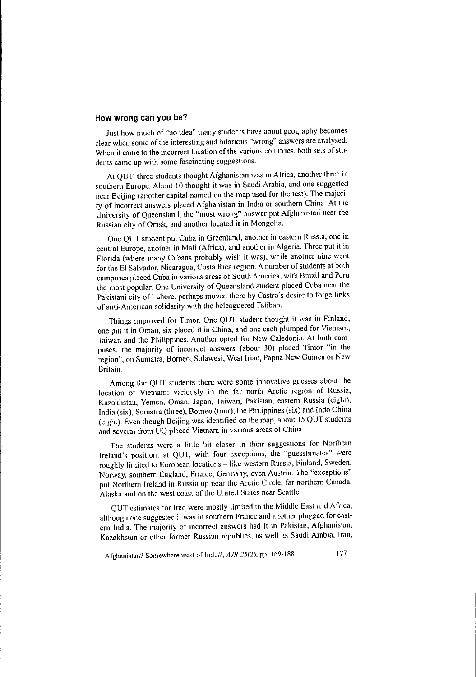## **How wrong can you be?**

Just how much of "no idea" many students have about geography becomes **clear when some** ofthe **interesting and hilarious "wrong" answers are analysed. When it came to the incorrect location** ofthe **various countries, both sets ofstudents came up with some fascinating suggestions.**

At QUT, three students thought Afghanistan was in Africa, another three in southern Europe. About 10 thought it was in Saudi Arabia, and one suggested near Beijing (another capital named on the map used for the test). The majority of incorrect answers placed Afghanistan in India or southem China. At the University of Queensland, the "most wrong" answer put Afghanistan near the Russian city of Omsk, and another located it in Mongolia.

One QUT student put Cuba in Greenland, another in eastern Russia, one in central Europe, another in Mali (Africa), and another in Algeria. Three put it in Florida (where many Cubans probably wish it was), while another nine went for the El Salvador, Nicaragua, Costa Rica region. A number of students at both **campuses placed Cuba in various areas of South America, with Brazil and Peru** the most popular. One University of Queensland student placed Cuba near the Pakistani city of Lahore, perhaps moved there by Castro's desire to forge links of anti-American solidarity with the beleaguered Taliban.

Things improved for Timor. One QUT student thought it was in Finland, **onc put it in Oman, six placed it in China, and one each plumped for Vietnam,** Taiwan and the Philippines. Another opted for New Caledonia. At both campuses, the majority of incorrect answers (about 30) placed Timor "in the **region", on Sumatra, Borneo, Sulawesi, West Irian, Papua New Guinea or New Britain.**

Among the QUT students there were some innovative guesses about the **location of Vietnam: variously in the far north Arctic region of Russia, Kazakhstan, Yemen, Oman, Japan, Taiwan, Pakistan, eastern Russia (eight),** India (six), Sumatra (three), Borneo (four), the Philippines (six) and Indo China (eight). Even though Beijing was identified on the map, about 15 QUT students **and several from UQ placed Vietnam in various areas of China.**

**The students were a little bit closer in their suggestions for Northem Ireland's position: at QUT, with four exceptions, the "guesstimates" were** roughly limited to European locations - like western Russia, Finland, Sweden, **Norway, southem England, France, Germany, even Austria. The "exceptions"** put Northern Ireland in Russia up near the Arctic Circle, far northern Canada, Alaska and on the west coast of the United States near Seattle.

QUT estimates for Iraq were mostly limited to the Middle East and Africa, **although one suggested it was in southern France and another plugged for eastcm India. The majority of incorrect answers had it in Pakistan, Afghanistan, Kazakhstan or other former Russian republics, as well as Saudi Arabia, Iran,**

**Afghanistan? Somewhere west of India?,** *AJR* **25(2), pp.** 169~188 177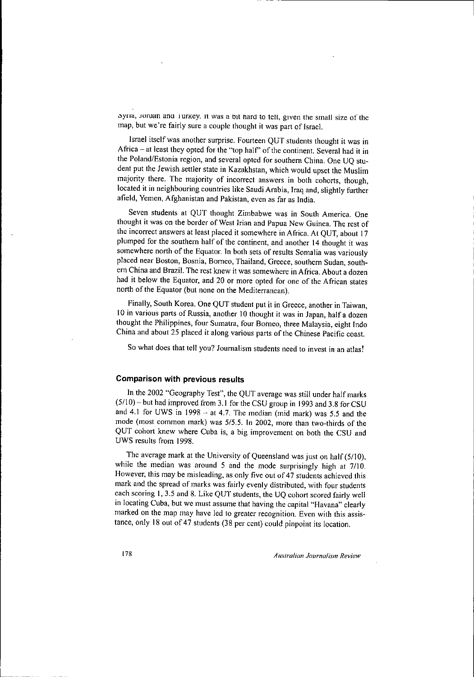$\frac{1}{2}$  **b**  $\frac{1}{2}$  **l**  $\frac{1}{2}$  **l**  $\frac{1}{2}$  **l**  $\frac{1}{2}$  **l**  $\frac{1}{2}$  **l**  $\frac{1}{2}$  **l**  $\frac{1}{2}$  **l**  $\frac{1}{2}$  **l**  $\frac{1}{2}$  **l**  $\frac{1}{2}$  **l**  $\frac{1}{2}$  **l**  $\frac{1}{2}$  **l**  $\frac{1}{2}$  **l**  $\frac{1}{2}$  **l**  $\frac{1}{2}$  **l** map, but we're fairly sure a couple thought it was part of Israel.

Israel itself was another surprise. Fourteen QUT students thought it was in Africa - at least they opted for the "top half" of the continent. Several had it in the Poland/Estonia region, and several opted for southem China. One UQ student put the Jewish settler state in Kazakhstan, which would upset the Muslim majority there. The majority of incorrect answers in both cohorts, though, located it in neighbouring countries like Saudi Arabia, Iraq and, slightly further **afield, Yemen, Afghanistan and Pakistan, even as far as India.**

Seven students at QUT thought Zimbabwe was in South Ameriea. One thought it was on the border of West Irian and Papua New Guinea. The rest of the incorrect answers at least placed it somewhere in Africa. At QUT, about 17 plumped for the southem half of the continent, and another 14 thought it was somewhere north of the Equator. In both sets of results Somalia was variously **placed near Boston, Bosnia, Borneo, Thailand, Greece, southem Sudan, south**em China and Brazil. The rest knew it was somewhere in Africa. About a dozen had it below the Equator, and 20 or more opted for one of the African states north of the Equator (but none on the Mediterranean).

Finally, South Korea. One QUT student put it in Greece, another in Taiwan, 10 in various parts of Russia, another 10 thought it was in Japan, half a dozen thought the Philippines, four Sumatra, four Borneo, three Malaysia, eight Indo China and about 25 placed it along various parts of the Chinese Pacific coast.

**So what does that tell you? Journalism students need to invest in an atlas!**

#### **Comparison with previous results**

In the 2002 "Geography Test", the QUT average was still under half marks  $(5/10)$  – but had improved from 3.1 for the CSU group in 1993 and 3.8 for CSU and 4.1 for UWS in  $1998 - at 4.7$ . The median (mid mark) was 5.5 and the mode (most common mark) was 5/5.5. In 2002, more than two-thirds of the QUT cohort knew where Cuba is, a big improvement on both the CSU and UWS results from 1998.

The average mark at the University of Queensland was just on half (5/10), while the median was around 5 and the mode surprisingly high at 7/10. However, this may be misleading, as only five out of 47 students achieved this mark and the spread of marks was fairly evenly distributed, with four students each scoring 1,3.5 and 8. Like QUT students, the UQ cohort scored fairly well in locating Cuba, but we must assume that having the capital "Havana" clearly **marked on the map may have led to greater recognition. Even with this assis**tance, only I8 out of 47 students (38 per cent) could pinpoint its location.

178 *Au.wralian Journalism Review*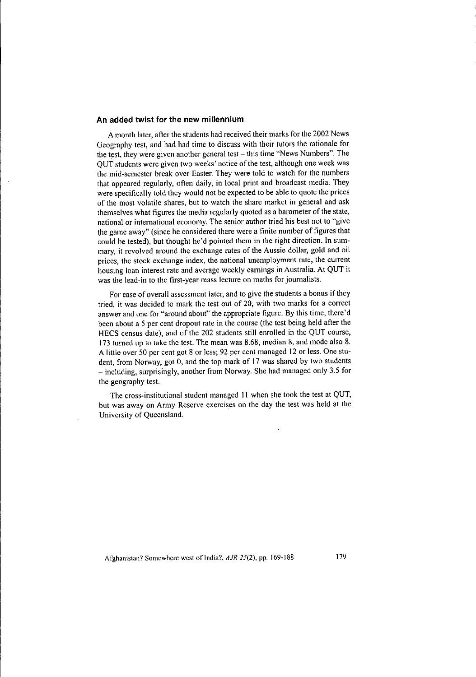#### **An added twist for the new millennium**

A month later, after the students had received their marks for the 2002 News Geography test, and had had time to discuss with their tutors the rationale for **the** t~st, **they were given another general test - this time "'News Numbers". The** QUT students were given two weeks' notice of the test, although one week was the mid-semester break over Easter. They were told to watch for the numbers that appeared regularly, often daily, in local print and broadcast media. They were specifically told they would not be expected to be able to quote the prices of the most volatile shares, but to watch the share market in general and ask themselves what figures the media regularly quoted as a barometer of the state, national or international economy. The senior author tried his best not to "give the game away" (since he considered there were a finite number of figures that could be tested), but thought he'd pointed them in the right direction. In summary, it revolved around the exchange rates of the Aussie dollar, gold and oil **prices, the stock exchange index, the national unemployment rate, the current** housing loan interest rate and average weekly earnings in Australia. At QUT it **was the lead-in to the first-year mass lecture on maths for journalists.**

For ease of overall assessment later, and to give the students a bonus if they tried, it was decided to mark the test out of 20, with two marks for a correet **answer and one for "around about" the appropriate figure. By this time, there'** cl been about a 5 per cent dropout rate in the course (the test being held after the HECS census date), and of the 202 students still enrolled in the QUT course, 173 turned up to take thc test. The mean was 8.68, median 8, and mode also 8. A little over 50 per cent got 8 or less; 92 per cent managed 12 or less. One student, from Norway, got 0, and the top mark of 17 was shared by two students - including, surprisingly, another from Norway. She had managed only 3.5 for the geography test.

The cross-institutional student managed 11 when she took the test at QUT, **but was away on Army Reserve exercises on the day the test was held at the University of Queensland.**

**Afghanistan? Somewhere west of India'!,** *AJR* **25(2), pp. 169-188** 179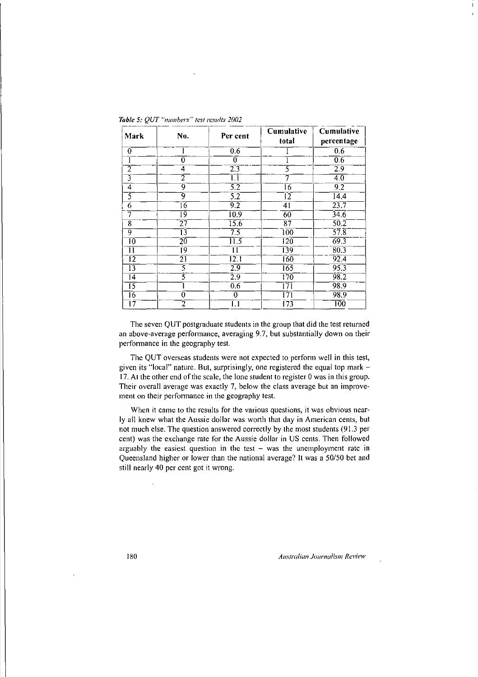| Mark                      | No.             | Per cent          | <b>Cumulative</b><br>total             | Cumulative<br>percentage |
|---------------------------|-----------------|-------------------|----------------------------------------|--------------------------|
| 0                         |                 | $0.\overline{6}$  |                                        | 0.6                      |
|                           | 0               | 0                 |                                        | 0.6                      |
| 2                         | 4               | 2.3               | 5                                      | 29                       |
| $\overline{\overline{3}}$ | 2               | 1.1               |                                        | 4.0                      |
| 4                         | 9               | 5.2               | 16                                     | 9.2                      |
| $\overline{\mathsf{S}}$   | 9               | $\overline{5.2}$  | Ī2                                     | $\overline{14.4}$        |
| 6                         | 16              | $\overline{9.2}$  | 41                                     | 23.7                     |
| 7                         | ī9              | 10.9              | 60                                     | 346                      |
| 8                         | 27              | 15.6              | $\overline{87}$                        | $\overline{50.2}$        |
| 9                         | $\overline{13}$ | $\overline{7.5}$  | $\overline{100}$                       | $\overline{57.8}$        |
| ĨŌ.                       | 20              | $\overline{11.5}$ | 120                                    | 69.3                     |
| П                         | 19              | 11                | 139                                    | 80.3                     |
| 12                        | $\overline{21}$ | $\overline{12.1}$ | $\overline{160}$                       | 92.4                     |
| $\overline{13}$           | 3               | 2.9               | 165                                    | 95.3                     |
| $\overline{14}$           | 3               | 2.9               | 170                                    | 98.2                     |
| 15                        |                 | 0.6               | 171                                    | 98.9                     |
| 16                        | 0               | 0                 | 171                                    | 98.9                     |
| Ī7                        | 2               | 1.1               | $\overline{1}\overline{7}\overline{3}$ | TŌÕ                      |

The seven QUT postgraduate students in the group that did the test returned **an above-average perfonnance, averaging 9.7, but substantially down on their** performance in the geography test.

The QUT overseas students were not expected to perfonn well in this test, given its "local" nature. But, surprisingly, one registered the equal top mark - 17. At the other end of the scale, the lone student to register 0 was in this group. **Their overall average was exactly 7, below the class average but an improvement on their perfonnance in the geography test.**

**When it came to the results for the various questions, it was obvious near**ly all knew what the Aussie dollar was worth that day in American cents, but not much else. The question answered correctly by the most students (91.3 per cent) was the exchange rate for the Aussie dollar in US cents. Then followed **arguably the easiest question in the test - was the unemployment rate in** Queensland higher or lower than the national average? It was a *50/50* bet and still nearly 40 per cent got it wrong.

**180** *Australian Journalism Review* 

 $\overline{1}$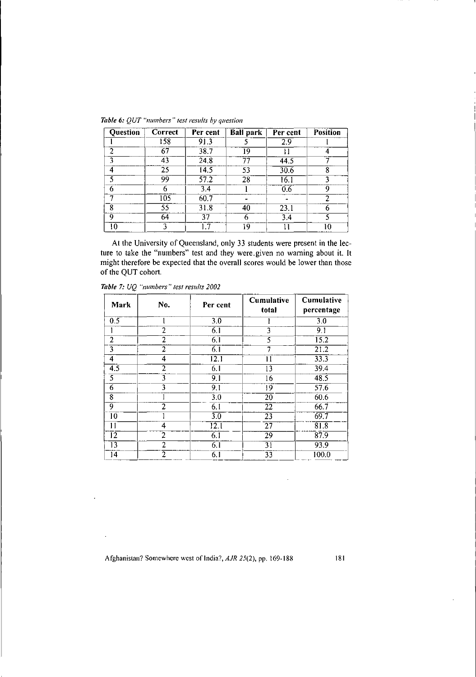| Question | Correct | Per cent          | <b>Ball</b> park | Per cent | <b>Position</b> |
|----------|---------|-------------------|------------------|----------|-----------------|
|          | 158     | 91.3              |                  | 2.9      |                 |
| 2        | 67      | 38.7              | 19               |          |                 |
|          | 43      | 24.8              | 77               | 44.5     |                 |
|          | 25      | 14.5              | 53               | 30.6     |                 |
|          | 99      | $\overline{57.2}$ | 28               | 16.1     |                 |
| 6        |         | 3.4               |                  | 0.6      | Q               |
|          | 105     | 60.7              |                  |          |                 |
| 8        | 55      | 31.8              | 40               | 23.1     | 6               |
| Q        | 64      | 37                |                  | 3.4      |                 |
| 10       |         |                   | 19               |          | 10              |

*Table* 6: *QUT "numbers" test results by question*

At the University of Queensland, only 33 students were present in the lecture to take the "numbers" test and they were. given no waming about it. It might therefore be expected that the overall scores would be lower than those of the QUT cohort.

| <b>Mark</b>     | No.            | Per cent          | <b>Cumulative</b><br>total | Cumulative<br>percentage |
|-----------------|----------------|-------------------|----------------------------|--------------------------|
| 0.5             |                | $\overline{30}$   |                            | $\overline{3.0}$         |
|                 | 2              | $\overline{6.1}$  | 3                          | 9.1                      |
| 2               | 2              | 6.1               | 5                          | $\overline{15.2}$        |
| 3               | $\overline{2}$ | $6\overline{1}$   | 7                          | 21.2                     |
| 4               | 4              | $\overline{12.1}$ | 11                         | 33.3                     |
| 4.5             | 2              | 6.1               | 13                         | 39.4                     |
| $\overline{5}$  | 3              | 9.1               | 16                         | 48.5                     |
| 6               | 3              | 9.1               | 19                         | 57.6                     |
| $\overline{8}$  |                | $\overline{3.0}$  | $\overline{20}$            | 60.6                     |
| 9               | $\overline{2}$ | $\overline{6.1}$  | 22                         | 66.7                     |
| $\overline{10}$ |                | $\overline{3.0}$  | $\overline{23}$            | 69.7                     |
| $\mathbf{1}$    | 4              | $\overline{12.1}$ | $\overline{27}$            | 81.8                     |
| $\overline{12}$ | 2              | 6.1               | $\overline{29}$            | 87.9                     |
| 13              | 2              | 6.1               | 31                         | 93.9                     |
| 14              | 2              | 6.1               | $\overline{33}$            | 100.0                    |

*Table* 7: *UQ "numbers" test results 2002*

l,

Afghanistan? Somewhere west of India?, AJR 25(2), pp. 169-188 181

 $\cdot$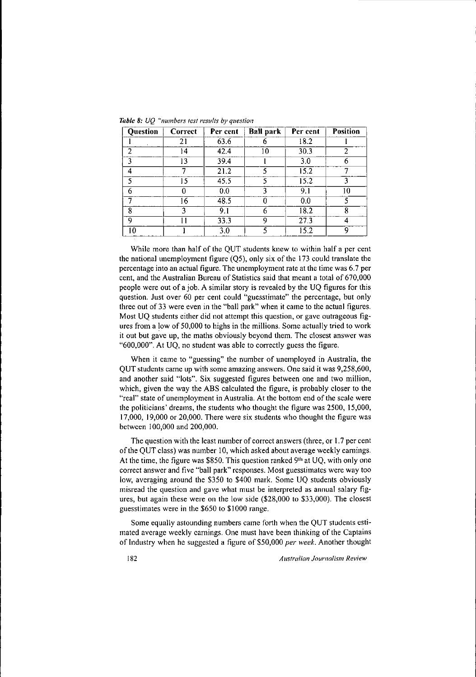| Question | Correct | Per cent | <b>Ball park</b> | Per cent | <b>Position</b> |
|----------|---------|----------|------------------|----------|-----------------|
|          | 21      | 63.6     |                  | 18.2     |                 |
| 2        | 14      | 42.4     | 10               | 30.3     | 2               |
|          | 13      | 39.4     |                  | 3.0      | 6               |
| 4        |         | 21.2     |                  | 15.2     |                 |
| ٢        | 15      | 45.5     |                  | 15.2     | ٦               |
| 6        |         | 0.0      | 3                | 9.1      | 10              |
|          | 16      | 48.5     | 0                | 0.0      |                 |
| ጸ        | 3       | 9.1      | 6                | 18.2     | 8               |
| 9        |         | 33.3     | 9                | 27.3     |                 |
| 10       |         | 3.0      | 5                | 15.2     | 9               |

*Table* 8: *UQ "numbers test results by question*

While more than half of the QUT students knew to within half a per cent the national unemployment figure (Q5), only six of the 173 could translate the percentage into an actual figure. The unemployment rate at the time was 6.7 per cent, and the Australian Bureau of Statistics said that meant a total of 670,000 people were out of a job. A similar story is revealed by the UQ figures for this question. Just over 60 per cent could "guesstimate" the percentage, but only three out of 33 were even in the "ball park" when it came to the actual figures. Most UQ students either did not attempt this question, or gave outrageous figures from a low of 50,000 to highs in the millions. Some actually tried to work it out but gave up, the maths obviously beyond them. The closest answer was "600,000". At UQ, no student was able to correctly guess the figure.

When it came to "guessing" the number of unemployed in Australia, the QUT students came up with some amazing answers. One said it was 9,258,600, and another said "lots". Six suggested figures between one and two million, which, given the way the ABS calculated the figure, is probably closer to the "rea!" state of unemployment in Australia. At the bottom end of the scale were the politicians' dreams, the students who thought the figure was 2500, 15,000, 17,000,19,000 or 20,000. There were six students who thought the figure was between 100,000 and 200,000.

The question with the least number of correct answers (three, or 1.7 per cent of the QUT class) was number 10, which asked about average weekly earnings. At the time, the figure was \$850. This question ranked 9<sup>th</sup> at UQ, with only one correct answer and five "ball park" responses. Most guesstimates were way too low, averaging around the \$350 to \$400 mark. Some UQ students obviously misread the question and gave what must be interpreted as annual salary figures, but again these were on the low side (\$28,000 to \$33,000). The closest guesstimates were in the \$650 to \$1000 range.

Some equally astounding numbers came forth when the QUT students estimated average weekly earnings. One must have been thinking of the Captains of Industry when he suggested a figure of \$50,000 *per week.* Another thought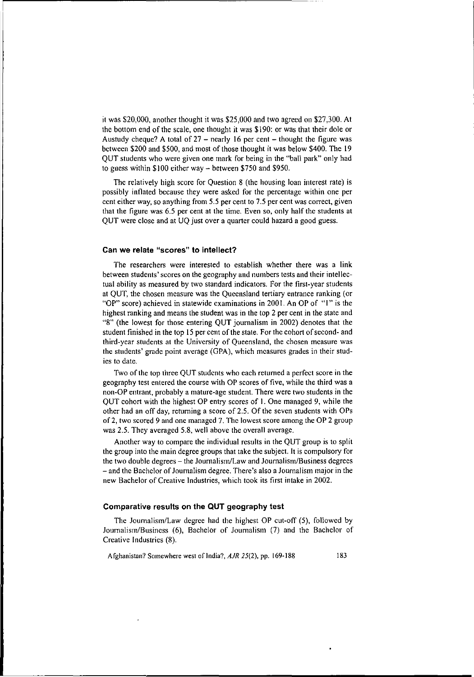it was \$20,000, another thought it was \$25,000 and two agreed on \$27,300. At the bottom end of the scale, one thought it was \$190: or was that their dole or Austudy cheque? A total of  $27$  - nearly 16 per cent - thought the figure was between \$200 and \$500, and most of those thought it was below \$400. The 19 QUT students who were given one mark for being in the "ball park" only had to guess within \$100 either way - between \$750 and \$950.

The relatively high score for Question 8 (the housing loan interest rate) is possibly inflated because they were asked for the percentage within one per **cent either way, so anything from 5.5 per cent to 7.5 per cent was correct, given** that the figure was 6.5 per cent at the time. Even so, only half the students at QUT were close and at UQ just over a quarter could hazard a good guess.

## **Can we relate** "scores" **to intellect?**

The researchers were interested to establish whether there was a link **between students' scores on the geography and numbers tests and their intellec**tual ability as measured by two standard indicators. For the first-year students at QUT, the chosen measure was the Queensland tertiary entrance ranking (or "OP" score) achieved in statewide examinations in 2001. An OP of "I" is the highest ranking and means the student was in the top 2 per cent in the state and "8" (the lowest for those entering QUT journalism in 2002) denotes that the student finished in the top 15 per cent of the state. For the cohort of second- and **third-year students at the University of Queensland, the chosen measure was** the students' grade point average (OPA), which mcasures grades in their stud**ies to date.**

Two of the top three OUT students who each returned a perfect score in the geography test entered the course with OP scores of five, while the third was a non-OP entrant, probably a mature-age student. There were two students in the QUT cohort with the highest OP entry scores of I. One managed 9, while the other had an off day, returning a score of 2.5. Of the seven students with OPs of2, two scored 9 and one managed 7. The lowest score among the OP 2 group was 2.5. They averaged 5.8, well above the overall average.

Another way to compare the individual results in the QUT group is to split the group into the main degree groups that take the subject. It is compulsory for the two double degrees - the Joumalism/Law and Journalism/Business degrees - and the Bachelor of Journalism degree. There's also a Journalism major in the new Bachelor of Creative Industries, which took its first intake in 2002.

## **Comparative results on the aUT geography test**

The Journalism/Law degree had the highest OP cut-off (5), followed by Journalism/Busincss (6), Bachelor of Journalism (7) and the Bachelor of Creative Industries (8).

Afghanistan? Somewhere west of India?, *AJR* 25(2), pp. 169-188 183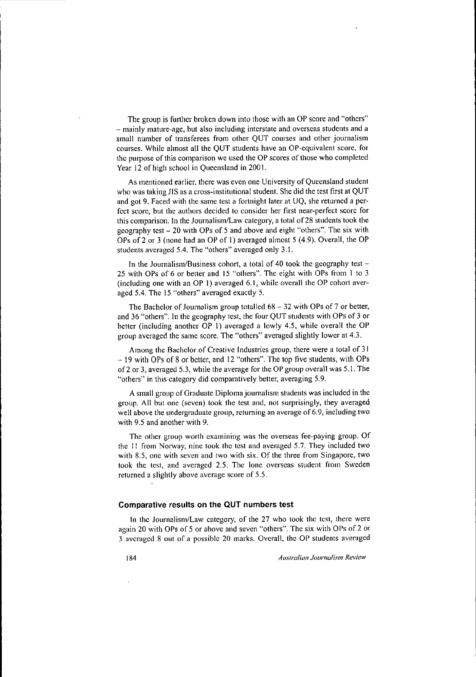The group is further broken down into those with an OP score and "others" **- mainly mature-age, but also including interstate and overseas students and a small number of transferees from other QUT courses and other journalism** courses. While almost all the QUT students have an OP-equivalent score, for the purpose of this comparison we used the OP scores of those who completed Year 12 of high school in Queensland in 2001.

**As mentioned earlier. there was even one University** of Queensland **student** who was taking JlS as a cross-institutional student. She did the test first at QUT and got 9. Faced with the same test a fortnight later at UQ, she returned a perfect score, but the authors decided to consider her first near-perfect score for this comparison. In the Journalism/Law category, a total of 28 students took the geography test - 20 with OPs of 5 and above and eight "others". The six with OPs of 2 or 3 (none had an OP of 1) averaged almost 5 (4.9). Overall, the OP students averaged 5.4. The "others" averaged only 3.1.

In the Journalism/Business cohort, a total of 40 took the geography test  $-$ 25 with OPs of 6 or better and 15 "others". The eight with OPs from I to 3 (including one with an OP 1) averaged  $6.1$ , while overall the OP cohort averaged 5.4. The 15 "others" averaged exactly 5.

The Bachelor of Journalism group totalled  $68 - 32$  with OPs of 7 or better, and 36 "others". In the geography test, the four QUT students with OPs of 3 or better (including another OP 1) averaged a lowly 4.5, while overall the OP group averaged the same score. The "others" averaged slightly lower at 4.3.

Among the Bachelor of Creative Industries group, there were a total of 31 - 19 with OPs of 8 or better, and 12 "others". The lop five students, with OPs of2 or 3, averaged 5.3, while the average for the OP group overall was 5.1. The "others" in this category did comparatively better, averaging 5.9.

A small group of Graduate Diploma journalism students was included in the group. All but one (seven) took the test and, not surprisingly, they averaged **well** above the undergraduate group, returning an average of 6.9, including two with 9.5 and another with 9.

**The other group worth examining was the overseas fee-paying group. Of** the 11 from Norway, nine took the test and averaged 5.7. They included two **with 8.5, onc with seven and two with six. Of the three from Singapore, two** took the test, and averaged 2.5. The lone overseas student from Sweden returned a slightly above average score of 5.5.

### **Comparative results on the aUT numbers test**

**In the Journalism/Law category, of the 27 who took the test, there were** again 20 with OPs of 5 or above and seven "others". The six with OPs of 2 or **3 averaged 8 out of a possible 20 marks. Overall, the or students averaged**

184 *Australian Journalism Review*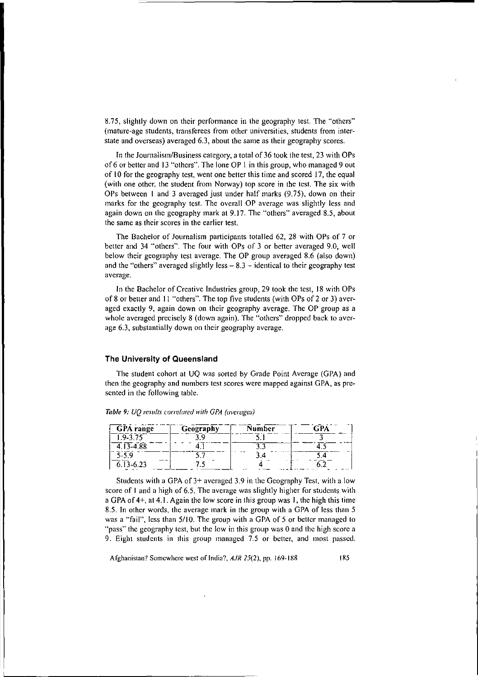8.75, slightly down on their performance in the geography test. The "others" **(mature-age students, transferees from other universities, students from inter**state and overseas) averaged 6.3, about the same as their geography scores.

In the Journalism/Business category, a total of 36 took the test, 23 with OPs of 6 or better and 13 "others". The lone OP I in this group, who managed 9 out of 10 for the geography test, went one better this time and scored 17, the equal (with one other, the student from Norway) top score in the test. The six with OPs between I and 3 averaged just under half marks (9.75), down on their marks for the geography test. The overall OP average was slightly less and again down on the geography mark at 9.17. The "others" averaged 8.5, about **the same as their scores in the earlier test.**

The Bachelor of Journalism participants totalled 62, 28 with OPs of 7 or better and 34 "others". The four with OPs of 3 or better averaged 9.0, well below their geography test average. The OP group averaged 8.6 (also down) and the "others" averaged slightly less  $-8.3$  - identical to their geography test **average.**

In the Bachelor of Creative Industries group, 29 took the test, 18 with OPs of 8 or better and I1 "others". The top five students (with OPs of 2 or 3) averaged exactly 9, again down on their geography average. The OP group as a whole averaged precisely 8 (down again). The "others" dropped back to average 6.3, substantially down on their geography average.

#### **The University of Queensland**

The student cohort at UQ was sorted by Grade Point Average (GPA) and **then the geography and numbers test scores were mapped against GPA. as pre**sented in the following table.

| <b>GPA</b> range | Geography | Number | Г. РА |
|------------------|-----------|--------|-------|
| 1.9-3.75         | ጋበ        |        |       |
| $4.13 - 4.88$    |           |        |       |
| $5 - 5.9$        |           |        |       |
| $6.13 - 6.23$    |           |        |       |
|                  |           |        |       |

*Table* **9:** *UQ results correlated with OPA (al'emges)*

Students with a GPA of 3+ averaged 3.9 in the Geography Test, with a low score of I and a high of 6.5. The average was slightly higher for students with a GPA of 4+, at 4.1. Again the low score in this group was I, the high this time 8.5. In other words, the average mark in the group with a GPA of less than 5 was a "fail", less than 5/10. The group with a GPA of 5 or better managed to "pass" the geography test, but the low in this group was 0 and the high score a **9.** Eight students in this group managed 7.5 or better, and most passed.

**Afghanistan?** Somewhere west of India?, *AJR* 25(2), pp. 169-188 185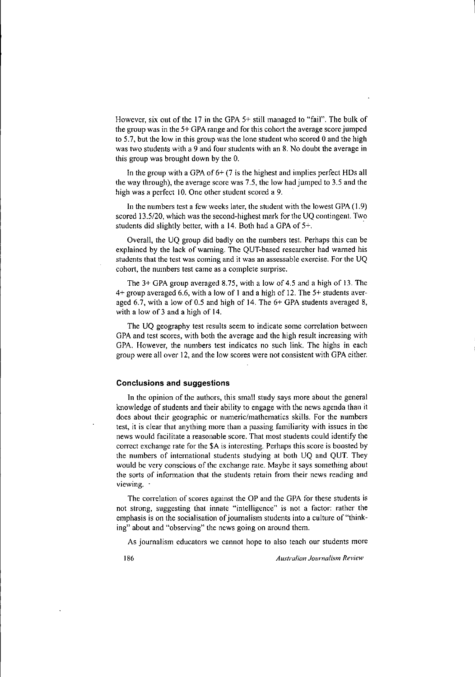However, six out of the 17 in the GPA 5+ still managed to "fail". The bulk of the group was in the 5+ GPA range and for this cohort the average score jumped to 5.7, but the low in this group was the lone student who scored 0 and the high was two students with a 9 and four students with an 8. No doubt the average in this group was brought down by the O.

In the group with a GPA of  $6+$  (7 is the highest and implies perfect HDs all the way through), the average score was 7.5, the low had jumped to 3.5 and the high was a perfect 10. One other student scored a 9.

In the numbers test a few weeks later, the student with the lowest GPA (1.9) scored 13.5/20, which was the second-highest mark for the UQ contingent. Two students did slightly better, with a 14. Both had a GPA of 5+.

Overall, the UQ group did badly on the numbers test. Perhaps this can be explained by the lack of warning. The QUT-based researcher had warned his **students that the test was coming and it was an assessable exercise. For the UQ COhOl1, the numbers test came as a complete surprise.**

The 3+ GPA group averaged 8.75, with a low of 4.5 and a high of 13. The 4+ group averaged 6.6, with a low of I and a high of 12. The 5+ students averaged 6.7, with a low of 0.5 and high of 14. The 6+ GPA students averaged 8, with a low of 3 and a high of 14.

**The UQ geography test results seem to indicate some correlation between** GPA and test scores, with both the average and the high result increasing with GPA. However, the numbers test indicates no such link. The highs in each group were all over 12, and the low scores were not consistent with GPA either.

### **Conclusions and suggestions**

In the opinion of the authors, this small study says more about the general knowledge of students and their ability to engage with the news agenda than it **does about their geographic or numeric/mathematics skills. For the numbers test, it is clear that anything more than a passing familiarity with issues in the** news would facilitate a reasonable score. That most students could identify the correct exchange rate for the \$A is interesting. Perhaps this score is boosted by the numbers of international students studying at both UQ and QUT. They would be very conscious of the exchange rate. Maybe it says something about **the sorts of infonnation that the students retain from their news reading and viewing. -**

The correlation of scores against the OP and the GPA for these students is **not strong, suggesting that innate "intelligence" is not a factor: rather the** emphasis is on the socialisation of journalism students into a culture of "think**ing" about and "observing" the news going on around them.**

**As joumalism educators we cannot hope to also teach our students more**

186 *Australian Journalism Review*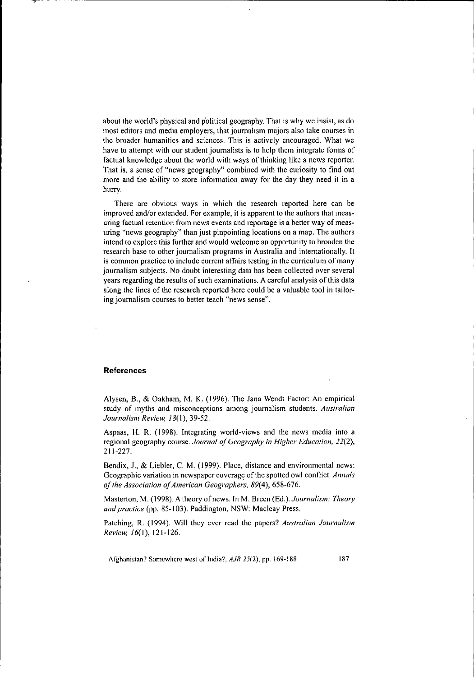about the world's physical and political geography. That is why we insist, as do most editors and media employers, that journalism majors also take courses in **the broader humanities and sciences. This is actively encouraged. What we** have to attempt with our student journalists is to help them integrate forms of factual knowledge about the world with ways of thinking like a news reporter. That is, a sense of "news geography" combined with the curiosity to find out **more and the ability to store infonnation away for the day they need it in a** hurry.

**There are obvious ways in which the research reported here can be** improved and/or extended. For example, it is apparent to the authors that meas**uring factual retention from news events and reportage is a better way of measuring "news geography" than just pinpointing locations on a map. The authors** intend to explore this further and would welcome an opportunity to broaden the **research base to other journalism programs in Australia and internationally. It is** common practice to include current affairs testing in the curriculum of many journalism subjects. No doubt interesting data has been collected over several years regarding the results of such examinations. A careful analysis of this data along the lines of the research reported here could be a valuable tool in tailor**ing journalism courses to better teach "news sense".**

#### **References**

---;r- -

Alysen, B., & Oakham, M. K. (1996). The Jana Wendt Factor: An empirical **study of myths and misconceptions among journalism students.** *Australian Journalism Review, 18(1),39-52.*

Aspaas, H. R. (1998). Integrating world-views and the news media into a regional geography course. *Journal ofGeography in Higher Education, 22(2),* 211-227.

Bendix, J., & Liebler, C. M. (1999). Place, distance and environmental news: Geographic variation in newspaper coverage of the spotted owl conflict. *Annals ofthe Association ofAmerican Geographers,* 89(4),658-676.

Masterton, M. (1998). A theory of news. [n M. Breen (Ed.). *Journalism: Theory and practice* (pp. 85-103). Paddington, NSW: Macleay Press.

Patching, R. (1994). Will they ever read the papers? *Australian Journalism Review, 16(1), 121-126.*

Afghanistan? Somewhere west of India?, *AJR* 25(2), pp. 169-188 187